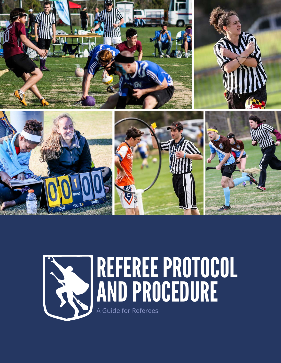

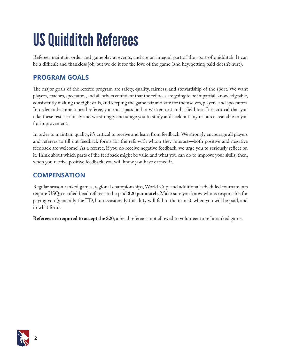## US Quidditch Referees

Referees maintain order and gameplay at events, and are an integral part of the sport of quidditch. It can be a difficult and thankless job, but we do it for the love of the game (and hey, getting paid doesn't hurt).

## **PROGRAM GOALS**

The major goals of the referee program are safety, quality, fairness, and stewardship of the sport. We want players, coaches, spectators, and all others confident that the referees are going to be impartial, knowledgeable, consistently making the right calls, and keeping the game fair and safe for themselves, players, and spectators. In order to become a head referee, you must pass both a written test and a field test. It is critical that you take these tests seriously and we strongly encourage you to study and seek out any resource available to you for improvement.

In order to maintain quality, it's critical to receive and learn from feedback. We strongly encourage all players and referees to fill out feedback forms for the refs with whom they interact—both positive and negative feedback are welcome! As a referee, if you do receive negative feedback, we urge you to seriously reflect on it. Think about which parts of the feedback might be valid and what you can do to improve your skills; then, when you receive positive feedback, you will know you have earned it.

## **COMPENSATION**

Regular season ranked games, regional championships, World Cup, and additional scheduled tournaments require USQ-certified head referees to be paid **\$20 per match**. Make sure you know who is responsible for paying you (generally the TD, but occasionally this duty will fall to the teams), when you will be paid, and in what form.

**Referees are required to accept the \$20**; a head referee is not allowed to volunteer to ref a ranked game.

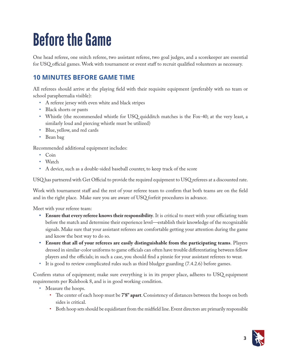## Before the Game

One head referee, one snitch referee, two assistant referee, two goal judges, and a scorekeeper are essential for USQ official games. Work with tournament or event staff to recruit qualified volunteers as necessary.

## **10 MINUTES BEFORE GAME TIME**

All referees should arrive at the playing field with their requisite equipment (preferably with no team or school paraphernalia visible):

- • A referee jersey with even white and black stripes
- Black shorts or pants
- Whistle (the recommended whistle for USQ quidditch matches is the Fox-40; at the very least, a similarly loud and piercing whistle must be utilized)
- Blue, yellow, and red cards
- Bean bag

Recommended additional equipment includes:

- • Coin
- Watch
- • A device, such as a double-sided baseball counter, to keep track of the score

USQ has partnered with Get Official to provide the required equipment to USQ referees at a discounted rate.

Work with tournament staff and the rest of your referee team to confirm that both teams are on the field and in the right place. Make sure you are aware of USQ forfeit procedures in advance.

Meet with your referee team:

- **• Ensure that every referee knows their responsibility**. It is critical to meet with your officiating team before the match and determine their experience level—establish their knowledge of the recognizable signals. Make sure that your assistant referees are comfortable getting your attention during the game and know the best way to do so.
- **• Ensure that all of your referees are easily distinguishable from the participating teams**. Players dressed in similar-color uniforms to game officials can often have trouble differentiating between fellow players and the officials; in such a case, you should find a pinnie for your assistant referees to wear.
- It is good to review complicated rules such as third bludger guarding (7.4.2.6) before games.

Confirm status of equipment; make sure everything is in its proper place, adheres to USQ equipment requirements per Rulebook 8, and is in good working condition.

- Measure the hoops.
	- • The center of each hoop must be **7'8" apart**. Consistency of distances between the hoops on both sides is critical.
	- • Both hoop sets should be equidistant from the midfield line. Event directors are primarily responsible

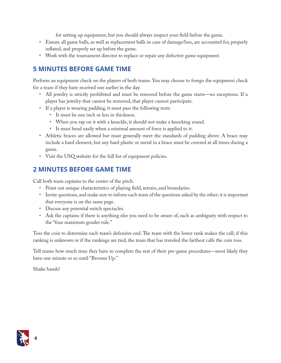for setting up equipment, but you should always inspect your field before the game.

- • Ensure all game balls, as well as replacement balls in case of damage/loss, are accounted for, properly inflated, and properly set up before the game.
- • Work with the tournament director to replace or repair any defective game equipment.

## **5 MINUTES BEFORE GAME TIME**

Perform an equipment check on the players of both teams. You may choose to forego the equipment check for a team if they have received one earlier in the day.

- • All jewelry is strictly prohibited and must be removed before the game starts—no exceptions. If a player has jewelry that cannot be removed, that player cannot participate.
- • If a player is wearing padding, it must pass the following tests:
	- • It must be one inch or less in thickness.
	- When you rap on it with a knuckle, it should not make a knocking sound.
	- • It must bend easily when a minimal amount of force is applied to it.
- Athletic braces are allowed but must generally meet the standards of padding above. A brace may include a hard element, but any hard plastic or metal in a brace must be covered at all times during a game.
- • Visit the USQ website for the full list of equipment policies.

## **2 MINUTES BEFORE GAME TIME**

Call both team captains to the center of the pitch.

- Point out unique characteristics of playing field, terrain, and boundaries.
- • Invite questions, and make sure to inform each team of the questions asked by the other; it is important that everyone is on the same page.
- • Discuss any potential snitch spectacles.
- • Ask the captains if there is anything else you need to be aware of, such as ambiguity with respect to the "four maximum gender rule."

Toss the coin to determine each team's defensive end. The team with the lower rank makes the call; if this ranking is unknown or if the rankings are tied, the team that has traveled the farthest calls the coin toss.

Tell teams how much time they have to complete the rest of their pre-game procedures—most likely they have one minute or so until "Brooms Up."

Shake hands!

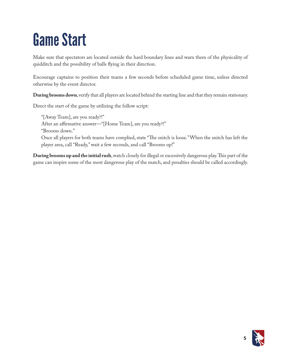## Game Start

Make sure that spectators are located outside the hard boundary lines and warn them of the physicality of quidditch and the possibility of balls flying in their direction.

Encourage captains to position their teams a few seconds before scheduled game time, unless directed otherwise by the event director.

**During brooms down**, verify that all players are located behind the starting line and that they remain stationary.

Direct the start of the game by utilizing the follow script:

"[Away Team], are you ready?!" After an affirmative answer—"[Home Team], are you ready?!" "Brooms down." Once all players for both teams have complied, state "The snitch is loose." When the snitch has left the player area, call "Ready," wait a few seconds, and call "Brooms up!"

**During brooms up and the initial rush**, watch closely for illegal or excessively dangerous play. This part of the game can inspire some of the most dangerous play of the match, and penalties should be called accordingly.

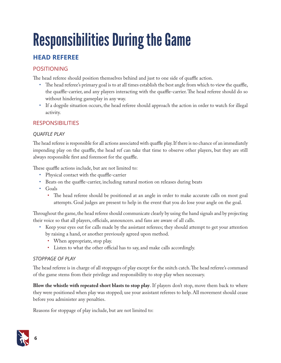# Responsibilities During the Game

## **HEAD REFEREE**

### POSITIONING

The head referee should position themselves behind and just to one side of quaffle action.

- • The head referee's primary goal is to at all times establish the best angle from which to view the quaffle, the quaffle-carrier, and any players interacting with the quaffle-carrier. The head referee should do so without hindering gameplay in any way.
- • If a dogpile situation occurs, the head referee should approach the action in order to watch for illegal activity.

### **RESPONSIBILITIES**

#### *QUAFFLE PLAY*

The head referee is responsible for all actions associated with quaffle play. If there is no chance of an immediately impending play on the quaffle, the head ref can take that time to observe other players, but they are still always responsible first and foremost for the quaffle.

These quaffle actions include, but are not limited to:

- Physical contact with the quaffle-carrier
- Beats on the quaffle-carrier, including natural motion on releases during beats
- • Goals
	- The head referee should be positioned at an angle in order to make accurate calls on most goal attempts. Goal judges are present to help in the event that you do lose your angle on the goal.

Throughout the game, the head referee should communicate clearly by using the hand signals and by projecting their voice so that all players, officials, announcers. and fans are aware of all calls.

- • Keep your eyes out for calls made by the assistant referees; they should attempt to get your attention by raising a hand, or another previously agreed upon method.
	- When appropriate, stop play.
	- • Listen to what the other official has to say, and make calls accordingly.

#### *STOPPAGE OF PLAY*

The head referee is in charge of all stoppages of play except for the snitch catch. The head referee's command of the game stems from their privilege and responsibility to stop play when necessary.

**Blow the whistle with repeated short blasts to stop play**. If players don't stop, move them back to where they were positioned when play was stopped; use your assistant referees to help. All movement should cease before you administer any penalties.

Reasons for stoppage of play include, but are not limited to:

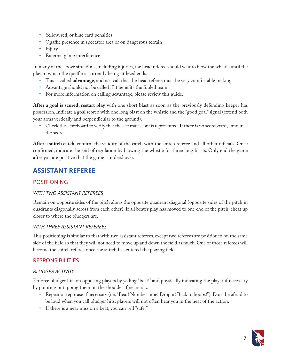- • Yellow, red, or blue card penalties
- Quaffle presence in spectator area or on dangerous terrain
- Injury
- • External game interference

In many of the above situations, including injuries, the head referee should wait to blow the whistle until the play in which the quaffle is currently being utilized ends.

- • This is called **advantage**, and is a call that the head referee must be very comfortable making.
- • Advantage should not be called if it benefits the fouled team.
- • For more information on calling advantage, please review this guide.

**After a goal is scored, restart play** with one short blast as soon as the previously defending keeper has possession. Indicate a goal scored with one long blast on the whistle and the "good goal" signal (extend both your arms vertically and perpendicular to the ground).

• Check the scoreboard to verify that the accurate score is represented. If there is no scoreboard, announce the score.

**After a snitch catch**, confirm the validity of the catch with the snitch referee and all other officials. Once confirmed, indicate the end of regulation by blowing the whistle for three long blasts. Only end the game after you are positive that the game is indeed over.

## **ASSISTANT REFEREE**

#### POSITIONING

#### *WITH TWO ASSISTANT REFEREES*

Remain on opposite sides of the pitch along the opposite quadrant diagonal (opposite sides of the pitch in quadrants diagonally across from each other). If all beater play has moved to one end of the pitch, cheat up closer to where the bludgers are.

#### *WITH THREE ASSISTANT REFEREES*

This positioning is similar to that with two assistant referees, except two referees are positioned on the same side of the field so that they will not need to move up and down the field as much. One of those referees will become the snitch referee once the snitch has entered the playing field.

#### RESPONSIBILITIES

#### *BLUDGER ACTIVITY*

Enforce bludger hits on opposing players by yelling "beat!" and physically indicating the player if necessary by pointing or tapping them on the shoulder if necessary.

- • Repeat or rephrase if necessary (i.e. "Beat! Number nine! Drop it! Back to hoops!"). Don't be afraid to be loud when you call bludger hits; players will not often hear you in the heat of the action.
- If there is a near miss on a beat, you can yell "safe."

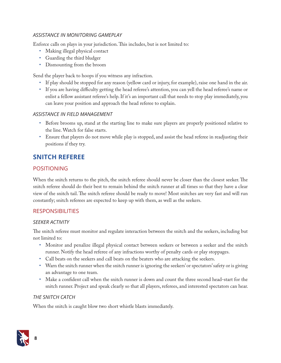#### *ASSISTANCE IN MONITORING GAMEPLAY*

Enforce calls on plays in your jurisdiction. This includes, but is not limited to:

- Making illegal physical contact
- Guarding the third bludger
- Dismounting from the broom

Send the player back to hoops if you witness any infraction.

- • If play should be stopped for any reason (yellow card or injury, for example), raise one hand in the air.
- • If you are having difficulty getting the head referee's attention, you can yell the head referee's name or enlist a fellow assistant referee's help. If it's an important call that needs to stop play immediately, you can leave your position and approach the head referee to explain.

#### *ASSISTANCE IN FIELD MANAGEMENT*

- • Before brooms up, stand at the starting line to make sure players are properly positioned relative to the line. Watch for false starts.
- • Ensure that players do not move while play is stopped, and assist the head referee in readjusting their positions if they try.

## **SNITCH REFEREE**

#### POSITIONING

When the snitch returns to the pitch, the snitch referee should never be closer than the closest seeker. The snitch referee should do their best to remain behind the snitch runner at all times so that they have a clear view of the snitch tail. The snitch referee should be ready to move! Most snitches are very fast and will run constantly; snitch referees are expected to keep up with them, as well as the seekers.

#### **RESPONSIBILITIES**

#### *SEEKER ACTIVITY*

The snitch referee must monitor and regulate interaction between the snitch and the seekers, including but not limited to:

- • Monitor and penalize illegal physical contact between seekers or between a seeker and the snitch runner. Notify the head referee of any infractions worthy of penalty cards or play stoppages.
- • Call beats on the seekers and call beats on the beaters who are attacking the seekers.
- Warn the snitch runner when the snitch runner is ignoring the seekers' or spectators' safety or is giving an advantage to one team.
- • Make a confident call when the snitch runner is down and count the three second head-start for the snitch runner. Project and speak clearly so that all players, referees, and interested spectators can hear.

#### *THE SNITCH CATCH*

When the snitch is caught blow two short whistle blasts immediately.

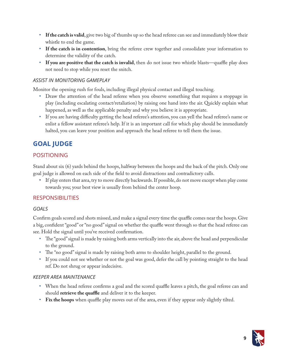- • **If the catch is valid**, give two big ol' thumbs up so the head referee can see and immediately blow their whistle to end the game.
- • **If the catch is in contention**, bring the referee crew together and consolidate your information to determine the validity of the catch.
- If you are positive that the catch is invalid, then do not issue two whistle blasts—quaffle play does not need to stop while you reset the snitch.

#### *ASSIST IN MONITORING GAMEPLAY*

Monitor the opening rush for fouls, including illegal physical contact and illegal touching.

- • Draw the attention of the head referee when you observe something that requires a stoppage in play (including escalating contact/retaliation) by raising one hand into the air. Quickly explain what happened, as well as the applicable penalty and why you believe it is appropriate.
- • If you are having difficulty getting the head referee's attention, you can yell the head referee's name or enlist a fellow assistant referee's help. If it is an important call for which play should be immediately halted, you can leave your position and approach the head referee to tell them the issue.

## **GOAL JUDGE**

#### POSITIONING

Stand about six (6) yards behind the hoops, halfway between the hoops and the back of the pitch. Only one goal judge is allowed on each side of the field to avoid distractions and contradictory calls.

• If play enters that area, try to move directly backwards. If possible, do not move except when play come towards you; your best view is usually from behind the center hoop.

#### **RESPONSIBILITIES**

#### *GOALS*

Confirm goals scored and shots missed, and make a signal every time the quaffle comes near the hoops. Give a big, confident "good" or "no good" signal on whether the quaffle went through so that the head referee can see. Hold the signal until you've received confirmation.

- • The "good" signal is made by raising both arms vertically into the air, above the head and perpendicular to the ground.
- • The "no good" signal is made by raising both arms to shoulder height, parallel to the ground.
- • If you could not see whether or not the goal was good, defer the call by pointing straight to the head ref. Do not shrug or appear indecisive.

#### *KEEPER AREA MAINTENANCE*

- • When the head referee confirms a goal and the scored quaffle leaves a pitch, the goal referee can and should **retrieve the quaffle** and deliver it to the keeper.
- • **Fix the hoops** when quaffle play moves out of the area, even if they appear only slightly tilted.

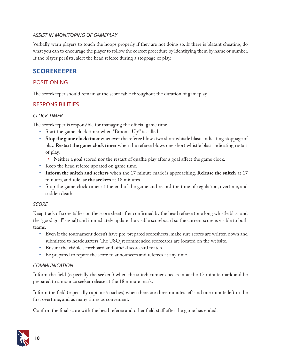#### *ASSIST IN MONITORING OF GAMEPLAY*

Verbally warn players to touch the hoops properly if they are not doing so. If there is blatant cheating, do what you can to encourage the player to follow the correct procedure by identifying them by name or number. If the player persists, alert the head referee during a stoppage of play.

### **SCOREKEEPER**

#### POSITIONING

The scorekeeper should remain at the score table throughout the duration of gameplay.

#### RESPONSIBILITIES

#### *CLOCK TIMER*

The scorekeeper is responsible for managing the official game time.

- Start the game clock timer when "Brooms Up!" is called.
- • **Stop the game clock timer** whenever the referee blows two short whistle blasts indicating stoppage of play. **Restart the game clock timer** when the referee blows one short whistle blast indicating restart of play.
	- Neither a goal scored nor the restart of quaffle play after a goal affect the game clock.
- • Keep the head referee updated on game time.
- • **Inform the snitch and seekers** when the 17 minute mark is approaching. **Release the snitch** at 17 minutes, and **release the seekers** at 18 minutes.
- • Stop the game clock timer at the end of the game and record the time of regulation, overtime, and sudden death.

#### *SCORE*

Keep track of score tallies on the score sheet after confirmed by the head referee (one long whistle blast and the "good goal" signal) and immediately update the visible scoreboard so the current score is visible to both teams.

- • Even if the tournament doesn't have pre-prepared scoresheets, make sure scores are written down and submitted to headquarters. The USQ-recommended scorecards are located on the website.
- • Ensure the visible scoreboard and official scorecard match.
- • Be prepared to report the score to announcers and referees at any time.

#### *COMMUNICATION*

Inform the field (especially the seekers) when the snitch runner checks in at the 17 minute mark and be prepared to announce seeker release at the 18 minute mark.

Inform the field (especially captains/coaches) when there are three minutes left and one minute left in the first overtime, and as many times as convenient.

Confirm the final score with the head referee and other field staff after the game has ended.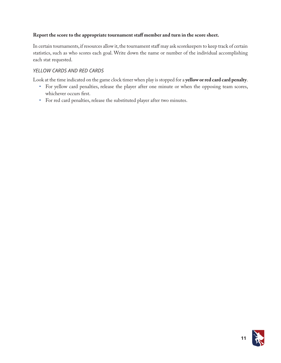#### **Report the score to the appropriate tournament staff member and turn in the score sheet.**

In certain tournaments, if resources allow it, the tournament staff may ask scorekeepers to keep track of certain statistics, such as who scores each goal. Write down the name or number of the individual accomplishing each stat requested.

#### *YELLOW CARDS AND RED CARDS*

Look at the time indicated on the game clock timer when play is stopped for a **yellow or red card card penalty**.

- • For yellow card penalties, release the player after one minute or when the opposing team scores, whichever occurs first.
- • For red card penalties, release the substituted player after two minutes.

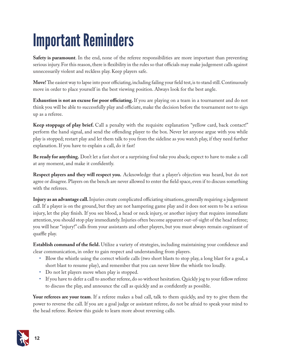## Important Reminders

**Safety is paramount**. In the end, none of the referee responsibilities are more important than preventing serious injury. For this reason, there is flexibility in the rules so that officials may make judgement calls against unnecessarily violent and reckless play. Keep players safe.

**Move!** The easiest way to lapse into poor officiating, including failing your field test, is to stand still. Continuously move in order to place yourself in the best viewing position. Always look for the best angle.

**Exhaustion is not an excuse for poor officiating.** If you are playing on a team in a tournament and do not think you will be able to successfully play and officiate, make the decision before the tournament not to sign up as a referee.

**Keep stoppage of play brief.** Call a penalty with the requisite explanation "yellow card, back contact!" perform the hand signal, and send the offending player to the box. Never let anyone argue with you while play is stopped; restart play and let them talk to you from the sideline as you watch play, if they need further explanation. If you have to explain a call, do it fast!

**Be ready for anything.** Don't let a fast shot or a surprising foul take you aback; expect to have to make a call at any moment, and make it confidently.

**Respect players and they will respect you.** Acknowledge that a player's objection was heard, but do not agree or disagree. Players on the bench are never allowed to enter the field space, even if to discuss something with the referees.

**Injury as an advantage call.** Injuries create complicated officiating situations, generally requiring a judgement call. If a player is on the ground, but they are not hampering game play and it does not seem to be a serious injury, let the play finish. If you see blood, a head or neck injury, or another injury that requires immediate attention, you should stop play immediately. Injuries often become apparent out-of-sight of the head referee; you will hear "injury!" calls from your assistants and other players, but you must always remain cognizant of quaffle play.

**Establish command of the field.** Utilize a variety of strategies, including maintaining your confidence and clear communication, in order to gain respect and understanding from players.

- • Blow the whistle using the correct whistle calls (two short blasts to stop play, a long blast for a goal, a short blast to resume play), and remember that you can never blow the whistle too loudly.
- Do not let players move when play is stopped.
- • If you have to defer a call to another referee, do so without hesitation. Quickly jog to your fellow referee to discuss the play, and announce the call as quickly and as confidently as possible.

**Your referees are your team**. If a referee makes a bad call, talk to them quickly, and try to give them the power to reverse the call. If you are a goal judge or assistant referee, do not be afraid to speak your mind to the head referee. Review this guide to learn more about reversing calls.

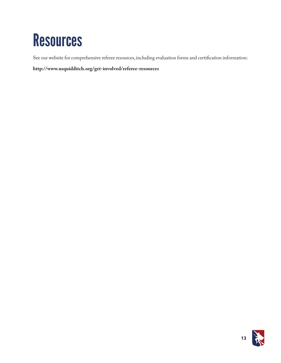## **Resources**

See our website for comprehensive referee resources, including evaluation forms and certification information:

**http://www.usquidditch.org/get-involved/referee-resources**